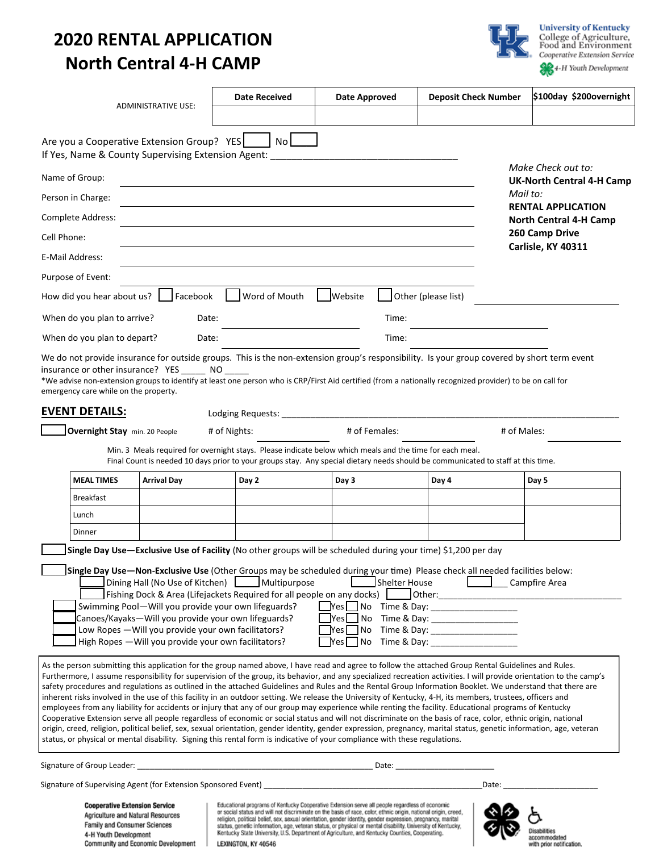# **2020 RENTAL APPLICATION North Central 4-H CAMP**



|             |                                                                                                                                    | <b>ADMINISTRATIVE USE:</b>                          | <b>Date Received</b>                                                                                                                                       | <b>Date Approved</b>                                                                                                                                                                                                                                                                                                                                                                                                                                                                                                                             | <b>Deposit Check Number</b>                                                                                                                                                                                                                                                                                                                                                                                                                                                                                                                                                                                                                                                                                                                                                                                                                                                                                                                                                                                                                                                                                                                                | \$100day \$200overnight                                    |
|-------------|------------------------------------------------------------------------------------------------------------------------------------|-----------------------------------------------------|------------------------------------------------------------------------------------------------------------------------------------------------------------|--------------------------------------------------------------------------------------------------------------------------------------------------------------------------------------------------------------------------------------------------------------------------------------------------------------------------------------------------------------------------------------------------------------------------------------------------------------------------------------------------------------------------------------------------|------------------------------------------------------------------------------------------------------------------------------------------------------------------------------------------------------------------------------------------------------------------------------------------------------------------------------------------------------------------------------------------------------------------------------------------------------------------------------------------------------------------------------------------------------------------------------------------------------------------------------------------------------------------------------------------------------------------------------------------------------------------------------------------------------------------------------------------------------------------------------------------------------------------------------------------------------------------------------------------------------------------------------------------------------------------------------------------------------------------------------------------------------------|------------------------------------------------------------|
|             |                                                                                                                                    | Are you a Cooperative Extension Group? YES          | No I                                                                                                                                                       | If Yes, Name & County Supervising Extension Agent: Name of the County of the County of the County of the County                                                                                                                                                                                                                                                                                                                                                                                                                                  |                                                                                                                                                                                                                                                                                                                                                                                                                                                                                                                                                                                                                                                                                                                                                                                                                                                                                                                                                                                                                                                                                                                                                            |                                                            |
|             | Name of Group:                                                                                                                     |                                                     |                                                                                                                                                            |                                                                                                                                                                                                                                                                                                                                                                                                                                                                                                                                                  |                                                                                                                                                                                                                                                                                                                                                                                                                                                                                                                                                                                                                                                                                                                                                                                                                                                                                                                                                                                                                                                                                                                                                            | Make Check out to:<br><b>UK-North Central 4-H Camp</b>     |
|             | Person in Charge:                                                                                                                  |                                                     |                                                                                                                                                            |                                                                                                                                                                                                                                                                                                                                                                                                                                                                                                                                                  |                                                                                                                                                                                                                                                                                                                                                                                                                                                                                                                                                                                                                                                                                                                                                                                                                                                                                                                                                                                                                                                                                                                                                            | Mail to:                                                   |
|             | Complete Address:                                                                                                                  |                                                     |                                                                                                                                                            |                                                                                                                                                                                                                                                                                                                                                                                                                                                                                                                                                  |                                                                                                                                                                                                                                                                                                                                                                                                                                                                                                                                                                                                                                                                                                                                                                                                                                                                                                                                                                                                                                                                                                                                                            | <b>RENTAL APPLICATION</b><br><b>North Central 4-H Camp</b> |
| Cell Phone: |                                                                                                                                    |                                                     |                                                                                                                                                            |                                                                                                                                                                                                                                                                                                                                                                                                                                                                                                                                                  |                                                                                                                                                                                                                                                                                                                                                                                                                                                                                                                                                                                                                                                                                                                                                                                                                                                                                                                                                                                                                                                                                                                                                            | 260 Camp Drive                                             |
|             | E-Mail Address:                                                                                                                    |                                                     |                                                                                                                                                            |                                                                                                                                                                                                                                                                                                                                                                                                                                                                                                                                                  |                                                                                                                                                                                                                                                                                                                                                                                                                                                                                                                                                                                                                                                                                                                                                                                                                                                                                                                                                                                                                                                                                                                                                            | Carlisle, KY 40311                                         |
|             | Purpose of Event:                                                                                                                  |                                                     |                                                                                                                                                            |                                                                                                                                                                                                                                                                                                                                                                                                                                                                                                                                                  |                                                                                                                                                                                                                                                                                                                                                                                                                                                                                                                                                                                                                                                                                                                                                                                                                                                                                                                                                                                                                                                                                                                                                            |                                                            |
|             | How did you hear about us? [                                                                                                       | Facebook                                            | Word of Mouth                                                                                                                                              | <b>Website</b>                                                                                                                                                                                                                                                                                                                                                                                                                                                                                                                                   | Other (please list)                                                                                                                                                                                                                                                                                                                                                                                                                                                                                                                                                                                                                                                                                                                                                                                                                                                                                                                                                                                                                                                                                                                                        |                                                            |
|             |                                                                                                                                    | Date:                                               |                                                                                                                                                            | Time:                                                                                                                                                                                                                                                                                                                                                                                                                                                                                                                                            |                                                                                                                                                                                                                                                                                                                                                                                                                                                                                                                                                                                                                                                                                                                                                                                                                                                                                                                                                                                                                                                                                                                                                            |                                                            |
|             | When do you plan to arrive?                                                                                                        |                                                     |                                                                                                                                                            |                                                                                                                                                                                                                                                                                                                                                                                                                                                                                                                                                  |                                                                                                                                                                                                                                                                                                                                                                                                                                                                                                                                                                                                                                                                                                                                                                                                                                                                                                                                                                                                                                                                                                                                                            |                                                            |
|             | When do you plan to depart?                                                                                                        | Date:                                               |                                                                                                                                                            | Time:                                                                                                                                                                                                                                                                                                                                                                                                                                                                                                                                            | We do not provide insurance for outside groups. This is the non-extension group's responsibility. Is your group covered by short term event                                                                                                                                                                                                                                                                                                                                                                                                                                                                                                                                                                                                                                                                                                                                                                                                                                                                                                                                                                                                                |                                                            |
|             | emergency care while on the property.                                                                                              | insurance or other insurance? YES NO                |                                                                                                                                                            |                                                                                                                                                                                                                                                                                                                                                                                                                                                                                                                                                  | *We advise non-extension groups to identify at least one person who is CRP/First Aid certified (from a nationally recognized provider) to be on call for                                                                                                                                                                                                                                                                                                                                                                                                                                                                                                                                                                                                                                                                                                                                                                                                                                                                                                                                                                                                   |                                                            |
|             | <b>EVENT DETAILS:</b>                                                                                                              |                                                     | Lodging Requests:                                                                                                                                          |                                                                                                                                                                                                                                                                                                                                                                                                                                                                                                                                                  |                                                                                                                                                                                                                                                                                                                                                                                                                                                                                                                                                                                                                                                                                                                                                                                                                                                                                                                                                                                                                                                                                                                                                            |                                                            |
|             | Overnight Stay min. 20 People                                                                                                      |                                                     | # of Nights:                                                                                                                                               | # of Females:                                                                                                                                                                                                                                                                                                                                                                                                                                                                                                                                    | # of Males:                                                                                                                                                                                                                                                                                                                                                                                                                                                                                                                                                                                                                                                                                                                                                                                                                                                                                                                                                                                                                                                                                                                                                |                                                            |
|             |                                                                                                                                    |                                                     |                                                                                                                                                            | Min. 3 Meals required for overnight stays. Please indicate below which meals and the time for each meal.                                                                                                                                                                                                                                                                                                                                                                                                                                         | Final Count is needed 10 days prior to your groups stay. Any special dietary needs should be communicated to staff at this time.                                                                                                                                                                                                                                                                                                                                                                                                                                                                                                                                                                                                                                                                                                                                                                                                                                                                                                                                                                                                                           |                                                            |
|             | <b>MEAL TIMES</b>                                                                                                                  | <b>Arrival Day</b>                                  | Day 2                                                                                                                                                      | Day 3                                                                                                                                                                                                                                                                                                                                                                                                                                                                                                                                            | Day 4                                                                                                                                                                                                                                                                                                                                                                                                                                                                                                                                                                                                                                                                                                                                                                                                                                                                                                                                                                                                                                                                                                                                                      | Day 5                                                      |
|             | <b>Breakfast</b>                                                                                                                   |                                                     |                                                                                                                                                            |                                                                                                                                                                                                                                                                                                                                                                                                                                                                                                                                                  |                                                                                                                                                                                                                                                                                                                                                                                                                                                                                                                                                                                                                                                                                                                                                                                                                                                                                                                                                                                                                                                                                                                                                            |                                                            |
|             | Lunch                                                                                                                              |                                                     |                                                                                                                                                            |                                                                                                                                                                                                                                                                                                                                                                                                                                                                                                                                                  |                                                                                                                                                                                                                                                                                                                                                                                                                                                                                                                                                                                                                                                                                                                                                                                                                                                                                                                                                                                                                                                                                                                                                            |                                                            |
|             | Dinner                                                                                                                             |                                                     |                                                                                                                                                            |                                                                                                                                                                                                                                                                                                                                                                                                                                                                                                                                                  |                                                                                                                                                                                                                                                                                                                                                                                                                                                                                                                                                                                                                                                                                                                                                                                                                                                                                                                                                                                                                                                                                                                                                            |                                                            |
|             |                                                                                                                                    |                                                     | Dining Hall (No Use of Kitchen) Multipurpose<br>Swimming Pool-Will you provide your own lifeguards?<br>Canoes/Kayaks-Will you provide your own lifeguards? | Single Day Use-Exclusive Use of Facility (No other groups will be scheduled during your time) \$1,200 per day                                                                                                                                                                                                                                                                                                                                                                                                                                    | Single Day Use-Non-Exclusive Use (Other Groups may be scheduled during your time) Please check all needed facilities below:<br>Shelter House [1890] Campfire Area<br>Fishing Dock & Area (Lifejackets Required for all people on any docks) details and Other: and China and Politi                                                                                                                                                                                                                                                                                                                                                                                                                                                                                                                                                                                                                                                                                                                                                                                                                                                                        |                                                            |
|             |                                                                                                                                    | Low Ropes - Will you provide your own facilitators? | High Ropes - Will you provide your own facilitators?                                                                                                       | $Yes \Box No$<br>No<br>Yes I                                                                                                                                                                                                                                                                                                                                                                                                                                                                                                                     |                                                                                                                                                                                                                                                                                                                                                                                                                                                                                                                                                                                                                                                                                                                                                                                                                                                                                                                                                                                                                                                                                                                                                            |                                                            |
|             |                                                                                                                                    |                                                     |                                                                                                                                                            | status, or physical or mental disability. Signing this rental form is indicative of your compliance with these regulations.                                                                                                                                                                                                                                                                                                                                                                                                                      | As the person submitting this application for the group named above, I have read and agree to follow the attached Group Rental Guidelines and Rules.<br>Furthermore, I assume responsibility for supervision of the group, its behavior, and any specialized recreation activities. I will provide orientation to the camp's<br>safety procedures and regulations as outlined in the attached Guidelines and Rules and the Rental Group Information Booklet. We understand that there are<br>inherent risks involved in the use of this facility in an outdoor setting. We release the University of Kentucky, 4-H, its members, trustees, officers and<br>employees from any liability for accidents or injury that any of our group may experience while renting the facility. Educational programs of Kentucky<br>Cooperative Extension serve all people regardless of economic or social status and will not discriminate on the basis of race, color, ethnic origin, national<br>origin, creed, religion, political belief, sex, sexual orientation, gender identity, gender expression, pregnancy, marital status, genetic information, age, veteran |                                                            |
|             |                                                                                                                                    |                                                     |                                                                                                                                                            |                                                                                                                                                                                                                                                                                                                                                                                                                                                                                                                                                  | Date: <u>_____________________________</u>                                                                                                                                                                                                                                                                                                                                                                                                                                                                                                                                                                                                                                                                                                                                                                                                                                                                                                                                                                                                                                                                                                                 |                                                            |
|             |                                                                                                                                    |                                                     |                                                                                                                                                            |                                                                                                                                                                                                                                                                                                                                                                                                                                                                                                                                                  | Date:                                                                                                                                                                                                                                                                                                                                                                                                                                                                                                                                                                                                                                                                                                                                                                                                                                                                                                                                                                                                                                                                                                                                                      |                                                            |
|             | <b>Cooperative Extension Service</b><br>Agriculture and Natural Resources<br>Family and Consumer Sciences<br>4-H Youth Development | Community and Economic Development                  | LEXINGTON, KY 40546                                                                                                                                        | Educational programs of Kentucky Cooperative Extension serve all people regardless of economic<br>or social status and will not discriminate on the basis of race, color, ethnic origin, national origin, creed,<br>religion, political belief, sex, sexual orientation, gender identity, gender expression, pregnancy, marital<br>status, genetic information, age, veteran status, or physical or mental disability. University of Kentucky,<br>Kentucky State University, U.S. Department of Agriculture, and Kentucky Counties, Cooperating. |                                                                                                                                                                                                                                                                                                                                                                                                                                                                                                                                                                                                                                                                                                                                                                                                                                                                                                                                                                                                                                                                                                                                                            | Disabilities<br>accommodated<br>with prior notification.   |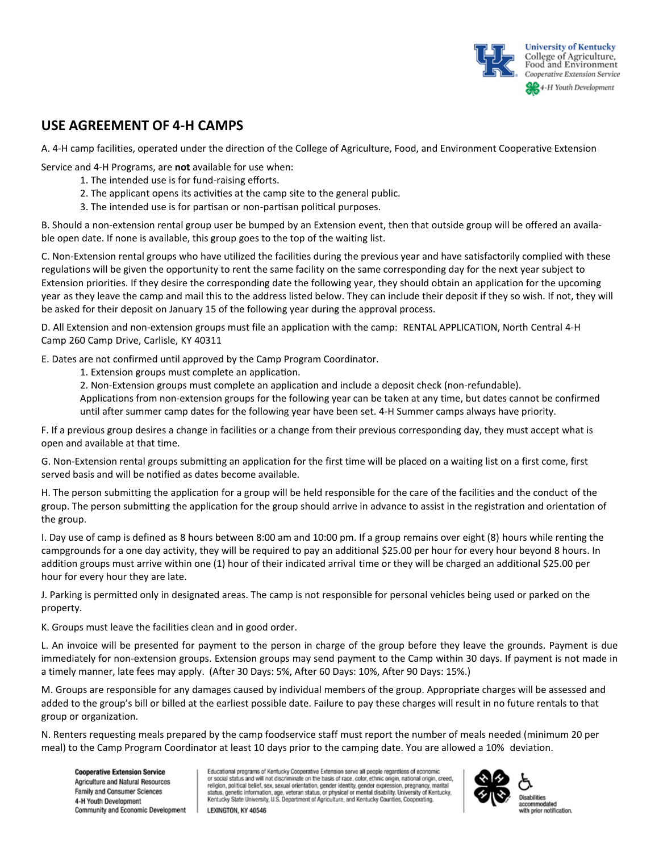

## **USE AGREEMENT OF 4-H CAMPS**

A. 4-H camp facilities, operated under the direction of the College of Agriculture, Food, and Environment Cooperative Extension

Service and 4-H Programs, are **not** available for use when:

- 1. The intended use is for fund-raising efforts.
- 2. The applicant opens its activities at the camp site to the general public.
- 3. The intended use is for partisan or non-partisan political purposes.

B. Should a non-extension rental group user be bumped by an Extension event, then that outside group will be offered an available open date. If none is available, this group goes to the top of the waiting list.

C. Non-Extension rental groups who have utilized the facilities during the previous year and have satisfactorily complied with these regulations will be given the opportunity to rent the same facility on the same corresponding day for the next year subject to Extension priorities. If they desire the corresponding date the following year, they should obtain an application for the upcoming year as they leave the camp and mail this to the address listed below. They can include their deposit if they so wish. If not, they will be asked for their deposit on January 15 of the following year during the approval process.

D. All Extension and non-extension groups must file an application with the camp: RENTAL APPLICATION, North Central 4-H Camp 260 Camp Drive, Carlisle, KY 40311

E. Dates are not confirmed until approved by the Camp Program Coordinator.

1. Extension groups must complete an application.

2. Non-Extension groups must complete an application and include a deposit check (non-refundable).

Applications from non-extension groups for the following year can be taken at any time, but dates cannot be confirmed until after summer camp dates for the following year have been set. 4-H Summer camps always have priority.

F. If a previous group desires a change in facilities or a change from their previous corresponding day, they must accept what is open and available at that time.

G. Non-Extension rental groups submitting an application for the first time will be placed on a waiting list on a first come, first served basis and will be notified as dates become available.

H. The person submitting the application for a group will be held responsible for the care of the facilities and the conduct of the group. The person submitting the application for the group should arrive in advance to assist in the registration and orientation of the group.

I. Day use of camp is defined as 8 hours between 8:00 am and 10:00 pm. If a group remains over eight (8) hours while renting the campgrounds for a one day activity, they will be required to pay an additional \$25.00 per hour for every hour beyond 8 hours. In addition groups must arrive within one (1) hour of their indicated arrival time or they will be charged an additional \$25.00 per hour for every hour they are late.

J. Parking is permitted only in designated areas. The camp is not responsible for personal vehicles being used or parked on the property.

K. Groups must leave the facilities clean and in good order.

L. An invoice will be presented for payment to the person in charge of the group before they leave the grounds. Payment is due immediately for non-extension groups. Extension groups may send payment to the Camp within 30 days. If payment is not made in a timely manner, late fees may apply. (After 30 Days: 5%, After 60 Days: 10%, After 90 Days: 15%.)

M. Groups are responsible for any damages caused by individual members of the group. Appropriate charges will be assessed and added to the group's bill or billed at the earliest possible date. Failure to pay these charges will result in no future rentals to that group or organization.

N. Renters requesting meals prepared by the camp foodservice staff must report the number of meals needed (minimum 20 per meal) to the Camp Program Coordinator at least 10 days prior to the camping date. You are allowed a 10% deviation.

**Cooperative Extension Service** Agriculture and Natural Resources Family and Consumer Sciences 4-H Youth Development Community and Economic Development

Educational programs of Kentucky Cooperative Extension serve all people regardless of economic or social status and will not discriminate on the basis of race, color, ethnic origin, national origin, creed, religion, political belief, sex, sexual orientation, gender identity, gender expression, pregnancy, marital<br>status, genetic information, age, veteran status, or physical or mental disability. University of Kentucky, Kentucky State University, U.S. Department of Agriculture, and Kentucky Counties, Cooperating. LEXINGTON, KY 40546

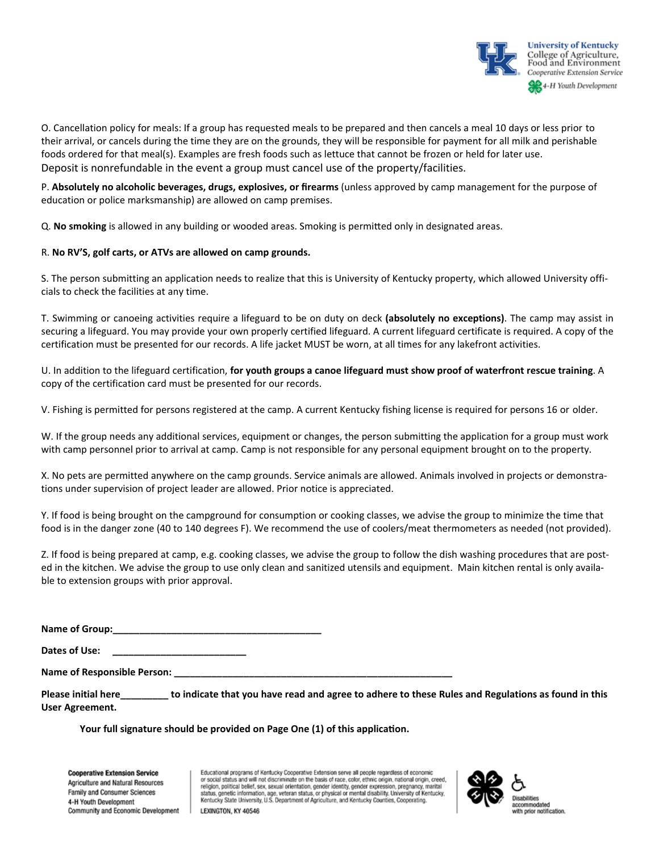

O. Cancellation policy for meals: If a group has requested meals to be prepared and then cancels a meal 10 days or less prior to their arrival, or cancels during the time they are on the grounds, they will be responsible for payment for all milk and perishable foods ordered for that meal(s). Examples are fresh foods such as lettuce that cannot be frozen or held for later use. Deposit is nonrefundable in the event a group must cancel use of the property/facilities.

P. **Absolutely no alcoholic beverages, drugs, explosives, or firearms** (unless approved by camp management for the purpose of education or police marksmanship) are allowed on camp premises.

Q. **No smoking** is allowed in any building or wooded areas. Smoking is permitted only in designated areas.

#### R. **No RV'S, golf carts, or ATVs are allowed on camp grounds.**

S. The person submitting an application needs to realize that this is University of Kentucky property, which allowed University officials to check the facilities at any time.

T. Swimming or canoeing activities require a lifeguard to be on duty on deck **(absolutely no exceptions)**. The camp may assist in securing a lifeguard. You may provide your own properly certified lifeguard. A current lifeguard certificate is required. A copy of the certification must be presented for our records. A life jacket MUST be worn, at all times for any lakefront activities.

U. In addition to the lifeguard certification, **for youth groups a canoe lifeguard must show proof of waterfront rescue training**. A copy of the certification card must be presented for our records.

V. Fishing is permitted for persons registered at the camp. A current Kentucky fishing license is required for persons 16 or older.

W. If the group needs any additional services, equipment or changes, the person submitting the application for a group must work with camp personnel prior to arrival at camp. Camp is not responsible for any personal equipment brought on to the property.

X. No pets are permitted anywhere on the camp grounds. Service animals are allowed. Animals involved in projects or demonstrations under supervision of project leader are allowed. Prior notice is appreciated.

Y. If food is being brought on the campground for consumption or cooking classes, we advise the group to minimize the time that food is in the danger zone (40 to 140 degrees F). We recommend the use of coolers/meat thermometers as needed (not provided).

Z. If food is being prepared at camp, e.g. cooking classes, we advise the group to follow the dish washing procedures that are posted in the kitchen. We advise the group to use only clean and sanitized utensils and equipment. Main kitchen rental is only available to extension groups with prior approval.

**Name of Group:\_\_\_\_\_\_\_\_\_\_\_\_\_\_\_\_\_\_\_\_\_\_\_\_\_\_\_\_\_\_\_\_\_\_\_\_\_\_\_**

Dates of Use:

Name of Responsible Person:

**Please initial here\_\_\_\_\_\_\_\_\_ to indicate that you have read and agree to adhere to these Rules and Regulations as found in this User Agreement.** 

**Your full signature should be provided on Page One (1) of this application.** 

**Cooperative Extension Service** Agriculture and Natural Resources Family and Consumer Sciences 4-H Youth Development Community and Economic Development

Educational programs of Kentucky Cooperative Extension serve all people regardless of economic or social status and will not discriminate on the basis of race, color, ethnic origin, national origin, creed,<br>religion, political belief, sex, sexual orientation, gender identity, gender expression, pregnancy, marital status, genetic information, age, veteran status, or physical or mental disability. University of Kentucky, Kentucky State University, U.S. Department of Agriculture, and Kentucky Counties, Cooperating.